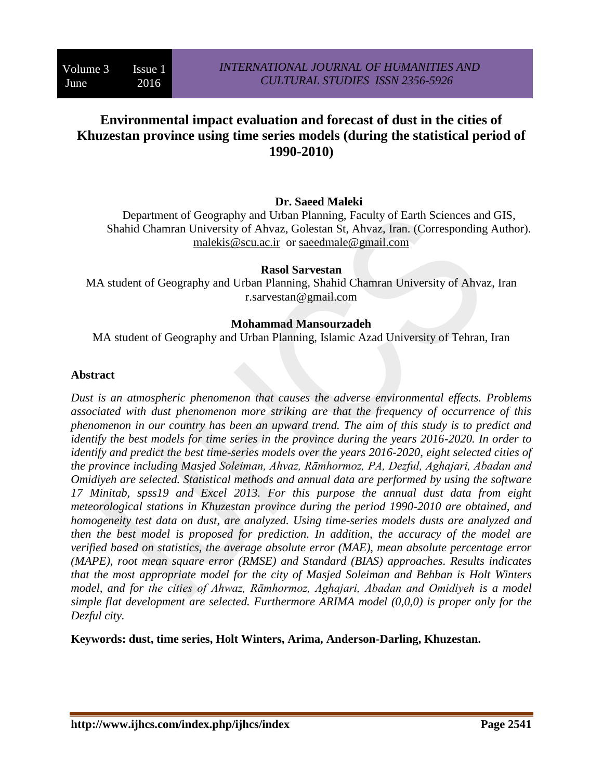# **Environmental impact evaluation and forecast of dust in the cities of Khuzestan province using time series models (during the statistical period of 1990-2010)**

#### **Dr. Saeed Maleki**

Department of Geography and Urban Planning, Faculty of Earth Sciences and GIS, Shahid Chamran University of Ahvaz, Golestan St, Ahvaz, Iran. (Corresponding Author). [malekis@scu.ac.ir](mailto:malekis@scu.ac.ir) or [saeedmale@gmail.com](mailto:saeedmale@gmail.com)

#### **Rasol Sarvestan**

MA student of Geography and Urban Planning, Shahid Chamran University of Ahvaz, Iran r.sarvestan@gmail.com

#### **Mohammad Mansourzadeh**

MA student of Geography and Urban Planning, Islamic Azad University of Tehran, Iran

#### **Abstract**

*Dust is an atmospheric phenomenon that causes the adverse environmental effects. Problems associated with dust phenomenon more striking are that the frequency of occurrence of this phenomenon in our country has been an upward trend. The aim of this study is to predict and identify the best models for time series in the province during the years 2016-2020. In order to identify and predict the best time-series models over the years 2016-2020, eight selected cities of the province including Masjed Soleiman, Ahvaz, Rāmhormoz, PA, Dezful, Aghajari, Abadan and Omidiyeh are selected. Statistical methods and annual data are performed by using the software 17 Minitab, spss19 and Excel 2013. For this purpose the annual dust data from eight meteorological stations in Khuzestan province during the period 1990-2010 are obtained, and homogeneity test data on dust, are analyzed. Using time-series models dusts are analyzed and then the best model is proposed for prediction. In addition, the accuracy of the model are verified based on statistics, the average absolute error (MAE), mean absolute percentage error (MAPE), root mean square error (RMSE) and Standard (BIAS) approaches. Results indicates that the most appropriate model for the city of Masjed Soleiman and Behban is Holt Winters model, and for the cities of Ahwaz, Rāmhormoz, Aghajari, Abadan and Omidiyeh is a model simple flat development are selected. Furthermore ARIMA model (0,0,0) is proper only for the Dezful city.*

**Keywords: dust, time series, Holt Winters, Arima, Anderson-Darling, Khuzestan.**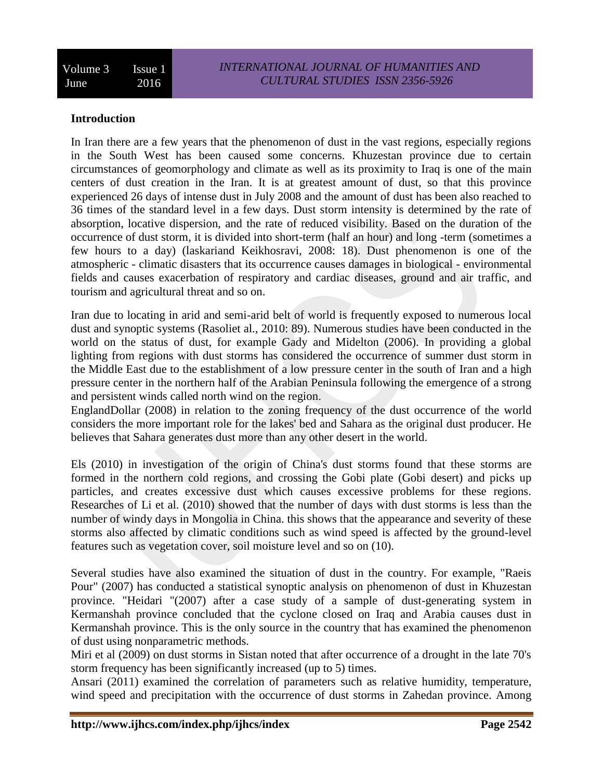#### **Introduction**

In Iran there are a few years that the phenomenon of dust in the vast regions, especially regions in the South West has been caused some concerns. Khuzestan province due to certain circumstances of geomorphology and climate as well as its proximity to Iraq is one of the main centers of dust creation in the Iran. It is at greatest amount of dust, so that this province experienced 26 days of intense dust in July 2008 and the amount of dust has been also reached to 36 times of the standard level in a few days. Dust storm intensity is determined by the rate of absorption, locative dispersion, and the rate of reduced visibility. Based on the duration of the occurrence of dust storm, it is divided into short-term (half an hour) and long -term (sometimes a few hours to a day) (laskariand Keikhosravi, 2008: 18). Dust phenomenon is one of the atmospheric - climatic disasters that its occurrence causes damages in biological - environmental fields and causes exacerbation of respiratory and cardiac diseases, ground and air traffic, and tourism and agricultural threat and so on.

Iran due to locating in arid and semi-arid belt of world is frequently exposed to numerous local dust and synoptic systems (Rasoliet al., 2010: 89). Numerous studies have been conducted in the world on the status of dust, for example Gady and Midelton (2006). In providing a global lighting from regions with dust storms has considered the occurrence of summer dust storm in the Middle East due to the establishment of a low pressure center in the south of Iran and a high pressure center in the northern half of the Arabian Peninsula following the emergence of a strong and persistent winds called north wind on the region.

EnglandDollar (2008) in relation to the zoning frequency of the dust occurrence of the world considers the more important role for the lakes' bed and Sahara as the original dust producer. He believes that Sahara generates dust more than any other desert in the world.

Els (2010) in investigation of the origin of China's dust storms found that these storms are formed in the northern cold regions, and crossing the Gobi plate (Gobi desert) and picks up particles, and creates excessive dust which causes excessive problems for these regions. Researches of Li et al. (2010) showed that the number of days with dust storms is less than the number of windy days in Mongolia in China. this shows that the appearance and severity of these storms also affected by climatic conditions such as wind speed is affected by the ground-level features such as vegetation cover, soil moisture level and so on (10).

Several studies have also examined the situation of dust in the country. For example, "Raeis Pour" (2007) has conducted a statistical synoptic analysis on phenomenon of dust in Khuzestan province. "Heidari "(2007) after a case study of a sample of dust-generating system in Kermanshah province concluded that the cyclone closed on Iraq and Arabia causes dust in Kermanshah province. This is the only source in the country that has examined the phenomenon of dust using nonparametric methods.

Miri et al (2009) on dust storms in Sistan noted that after occurrence of a drought in the late 70's storm frequency has been significantly increased (up to 5) times.

Ansari (2011) examined the correlation of parameters such as relative humidity, temperature, wind speed and precipitation with the occurrence of dust storms in Zahedan province. Among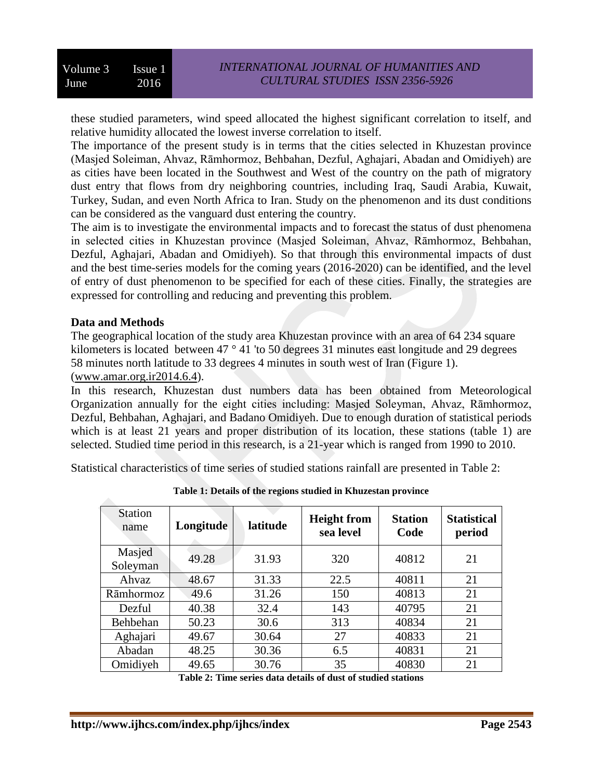these studied parameters, wind speed allocated the highest significant correlation to itself, and relative humidity allocated the lowest inverse correlation to itself.

The importance of the present study is in terms that the cities selected in Khuzestan province (Masjed Soleiman, Ahvaz, Rāmhormoz, Behbahan, Dezful, Aghajari, Abadan and Omidiyeh) are as cities have been located in the Southwest and West of the country on the path of migratory dust entry that flows from dry neighboring countries, including Iraq, Saudi Arabia, Kuwait, Turkey, Sudan, and even North Africa to Iran. Study on the phenomenon and its dust conditions can be considered as the vanguard dust entering the country.

The aim is to investigate the environmental impacts and to forecast the status of dust phenomena in selected cities in Khuzestan province (Masjed Soleiman, Ahvaz, Rāmhormoz, Behbahan, Dezful, Aghajari, Abadan and Omidiyeh). So that through this environmental impacts of dust and the best time-series models for the coming years (2016-2020) can be identified, and the level of entry of dust phenomenon to be specified for each of these cities. Finally, the strategies are expressed for controlling and reducing and preventing this problem.

#### **Data and Methods**

The geographical location of the study area Khuzestan province with an area of 64 234 square kilometers is located between 47 ° 41 'to 50 degrees 31 minutes east longitude and 29 degrees 58 minutes north latitude to 33 degrees 4 minutes in south west of Iran (Figure 1). [\(www.amar.org.ir2014.6.4\)](http://www.amar.org.ir2014.6.4/).

In this research, Khuzestan dust numbers data has been obtained from Meteorological Organization annually for the eight cities including: Masjed Soleyman, Ahvaz, Rāmhormoz, Dezful, Behbahan, Aghajari, and Badano Omidiyeh. Due to enough duration of statistical periods which is at least 21 years and proper distribution of its location, these stations (table 1) are selected. Studied time period in this research, is a 21-year which is ranged from 1990 to 2010.

Statistical characteristics of time series of studied stations rainfall are presented in Table 2:

| <b>Station</b><br>name | Longitude | <b>Height from</b><br>latitude<br>sea level |      | <b>Station</b><br>Code | <b>Statistical</b><br>period |
|------------------------|-----------|---------------------------------------------|------|------------------------|------------------------------|
| Masjed<br>Soleyman     | 49.28     | 31.93                                       | 320  | 40812                  | 21                           |
| Ahvaz                  | 48.67     | 31.33                                       | 22.5 | 40811                  | 21                           |
| Rāmhormoz              | 49.6      | 31.26                                       | 150  | 40813                  | 21                           |
| Dezful                 | 40.38     | 32.4                                        | 143  | 40795                  | 21                           |
| Behbehan               | 50.23     | 30.6                                        | 313  | 40834                  | 21                           |
| Aghajari               | 49.67     | 30.64                                       | 27   | 40833                  | 21                           |
| Abadan                 | 48.25     | 30.36                                       | 6.5  | 40831                  | 21                           |
| Omidiyeh               | 49.65     | 30.76                                       | 35   | 40830                  | 21                           |

**Table 1: Details of the regions studied in Khuzestan province**

**Table 2: Time series data details of dust of studied stations**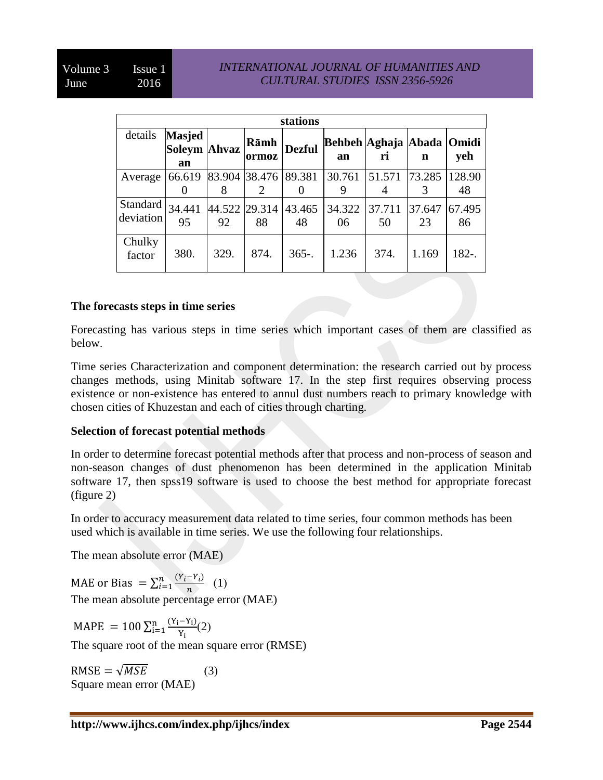#### *INTERNATIONAL JOURNAL OF HUMANITIES AND CULTURAL STUDIES ISSN 2356-5926*

|                       | stations                            |                     |               |               |                           |              |              |                     |  |  |
|-----------------------|-------------------------------------|---------------------|---------------|---------------|---------------------------|--------------|--------------|---------------------|--|--|
| details               | <b>Masjed</b><br>Soleym Ahvaz<br>an |                     | Rāmh<br>ormoz | <b>Dezful</b> | Behbeh Aghaja Abada<br>an | ri           | n            | <b>Omidi</b><br>yeh |  |  |
| Average               | 66.619                              | 83.904<br>8         | 38.476        | 89.381        | 30.761<br>9               | 51.571       | 73.285       | 128.90<br>48        |  |  |
| Standard<br>deviation | 34.441<br>95                        | 44.522 29.314<br>92 | 88            | 43.465<br>48  | 34.322<br>06              | 37.711<br>50 | 37.647<br>23 | 67.495<br>86        |  |  |
| Chulky<br>factor      | 380.                                | 329.                | 874.          | $365-.$       | 1.236                     | 374.         | 1.169        | 182-.               |  |  |

#### **The forecasts steps in time series**

Forecasting has various steps in time series which important cases of them are classified as below.

Time series Characterization and component determination: the research carried out by process changes methods, using Minitab software 17. In the step first requires observing process existence or non-existence has entered to annul dust numbers reach to primary knowledge with chosen cities of Khuzestan and each of cities through charting.

#### **Selection of forecast potential methods**

In order to determine forecast potential methods after that process and non-process of season and non-season changes of dust phenomenon has been determined in the application Minitab software 17, then spss19 software is used to choose the best method for appropriate forecast (figure 2)

In order to accuracy measurement data related to time series, four common methods has been used which is available in time series. We use the following four relationships.

The mean absolute error (MAE)

MAE or Bias =  $\sum_{i=1}^{n} \frac{(Y_i - Y_i)}{n}$  (1)  $\boldsymbol{n}$ n<br>i The mean absolute percentage error (MAE)

MAPE =  $100 \sum_{i=1}^{n} \frac{(Y_i - Y_i)}{Y_i}$ Y n<br>i=

The square root of the mean square error (RMSE)

 $RMSE = \sqrt{MSE}$  (3) Square mean error (MAE)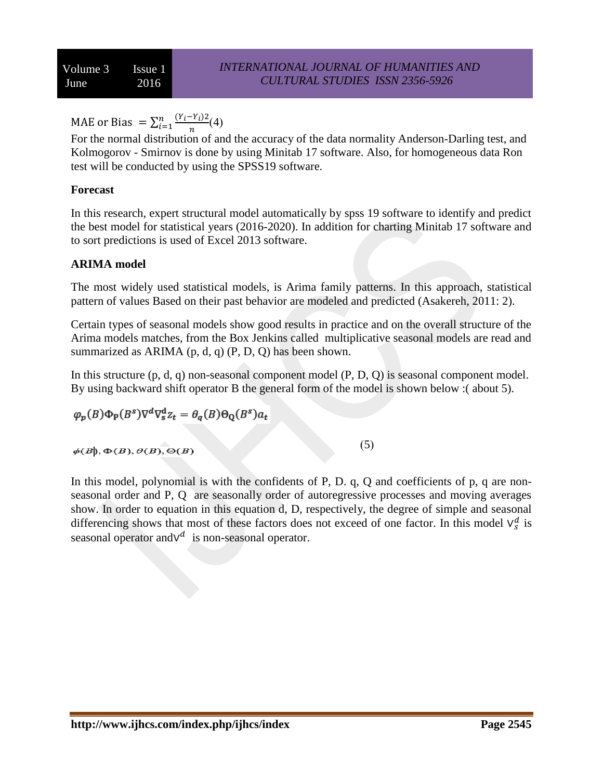MAE or Bias =  $\sum_{i=1}^{n} \frac{(Y_i - Y_i)^2}{n}$ (4)  $\boldsymbol{n}$ n<br>i

For the normal distribution of and the accuracy of the data normality Anderson-Darling test, and Kolmogorov - Smirnov is done by using Minitab 17 software. Also, for homogeneous data Ron test will be conducted by using the SPSS19 software.

## **Forecast**

In this research, expert structural model automatically by spss 19 software to identify and predict the best model for statistical years (2016-2020). In addition for charting Minitab 17 software and to sort predictions is used of Excel 2013 software.

#### **ARIMA model**

The most widely used statistical models, is Arima family patterns. In this approach, statistical pattern of values Based on their past behavior are modeled and predicted (Asakereh, 2011: 2).

Certain types of seasonal models show good results in practice and on the overall structure of the Arima models matches, from the Box Jenkins called multiplicative seasonal models are read and summarized as ARIMA  $(p, d, q)$   $(P, D, Q)$  has been shown.

In this structure (p, d, q) non-seasonal component model (P, D, Q) is seasonal component model. By using backward shift operator B the general form of the model is shown below :( about 5).

$$
\varphi_p(B)\Phi_p(B^s)\nabla^d\nabla_s^d z_t = \theta_q(B)\Theta_Q(B^s)a_t
$$
  

$$
\varphi(B), \Phi(B), \varphi(B), \Theta(B)
$$

In this model, polynomial is with the confidents of P, D. q, Q and coefficients of p, q are nonseasonal order and P, Q are seasonally order of autoregressive processes and moving averages show. In order to equation in this equation d, D, respectively, the degree of simple and seasonal differencing shows that most of these factors does not exceed of one factor. In this model  $\vee_s^d$  is seasonal operator and  $V^d$  is non-seasonal operator.

 $(5)$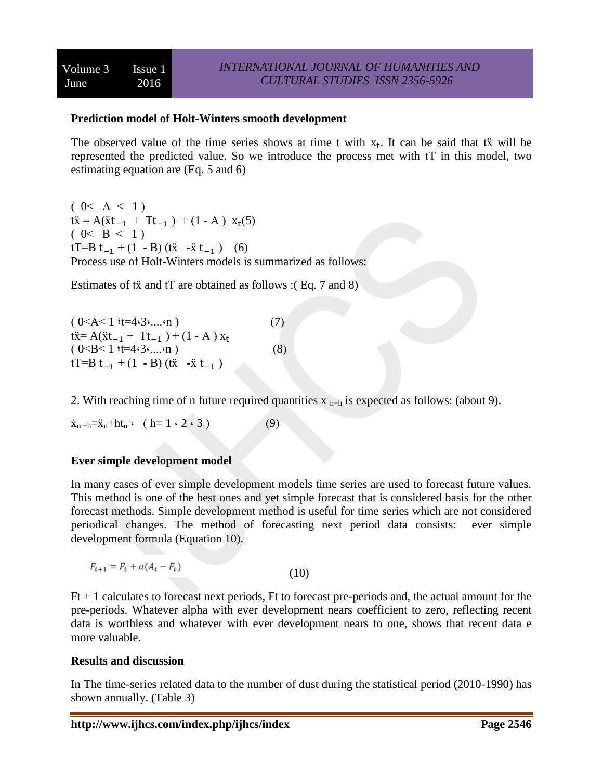#### **Prediction model of Holt-Winters smooth development**

The observed value of the time series shows at time t with  $x_t$ . It can be said that tx will be represented the predicted value. So we introduce the process met with tT in this model, two estimating equation are (Eq. 5 and 6)

 $(0 < A < 1)$  $tx = A(x_{t-1} + T_{t-1}) + (1 - A) x_t(5)$  $(0 < B < 1)$ tT=B t<sub>-1</sub> + (1 - B) (tx -x t<sub>-1</sub>) (6) Process use of Holt-Winters models is summarized as follows:

Estimates of  $tx$  and  $tT$  are obtained as follows :(Eq. 7 and 8)

) 0>A> 1 ؛ẍ=4،3،....،n ( )7(  $t\ddot{x} = A(\ddot{x} t_{-1} + T t_{-1}) + (1 - A)x$ ) 0>B> 1 ؛ẍ=4،3،....،n ( )8(  $tT=B t_{-1} + (1 - B)(t\ddot{x} - \ddot{x} t_{-1})$ 

2. With reaching time of n future required quantities  $x_{n+h}$  is expected as follows: (about 9).

$$
\dot{x}_{n+h} = \ddot{x}_n + ht_n \qquad (h = 1 \cdot 2 \cdot 3)
$$
 (9)

## **Ever simple development model**

In many cases of ever simple development models time series are used to forecast future values. This method is one of the best ones and yet simple forecast that is considered basis for the other forecast methods. Simple development method is useful for time series which are not considered periodical changes. The method of forecasting next period data consists: ever simple development formula (Equation 10).

$$
F_{t+1} = F_t + a(A_t - F_t) \tag{10}
$$

 $Ft + 1$  calculates to forecast next periods,  $Ft$  to forecast pre-periods and, the actual amount for the pre-periods. Whatever alpha with ever development nears coefficient to zero, reflecting recent data is worthless and whatever with ever development nears to one, shows that recent data e more valuable.

#### **Results and discussion**

In The time-series related data to the number of dust during the statistical period (2010-1990) has shown annually. (Table 3)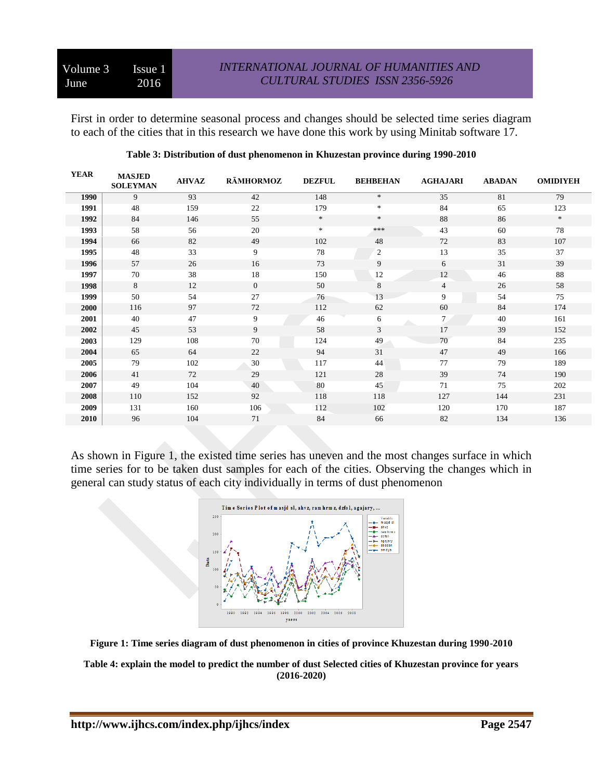First in order to determine seasonal process and changes should be selected time series diagram to each of the cities that in this research we have done this work by using Minitab software 17.

| <b>YEAR</b> | <b>MASJED</b><br><b>SOLEYMAN</b> | <b>AHVAZ</b> | <b>RĀMHORMOZ</b> | <b>DEZFUL</b> | <b>BEHBEHAN</b> | <b>AGHAJARI</b> | <b>ABADAN</b> | <b>OMIDIYEH</b> |
|-------------|----------------------------------|--------------|------------------|---------------|-----------------|-----------------|---------------|-----------------|
| 1990        | 9                                | 93           | 42               | 148           | $\ast$          | 35              | 81            | 79              |
| 1991        | 48                               | 159          | 22               | 179           | $*$             | 84              | 65            | 123             |
| 1992        | 84                               | 146          | 55               | $\ast$        | $\ast$          | 88              | 86            | $\ast$          |
| 1993        | 58                               | 56           | 20               | $\ast$        | ***             | 43              | 60            | 78              |
| 1994        | 66                               | 82           | 49               | 102           | 48              | 72              | 83            | 107             |
| 1995        | 48                               | 33           | 9                | 78            | 2               | 13              | 35            | 37              |
| 1996        | 57                               | 26           | 16               | 73            | 9               | 6               | 31            | 39              |
| 1997        | 70                               | 38           | 18               | 150           | 12              | 12              | 46            | 88              |
| 1998        | 8                                | 12           | $\overline{0}$   | 50            | 8               | $\overline{4}$  | 26            | 58              |
| 1999        | 50                               | 54           | 27               | 76            | 13              | 9               | 54            | 75              |
| 2000        | 116                              | 97           | 72               | 112           | 62              | 60              | 84            | 174             |
| 2001        | 40                               | 47           | 9                | 46            | 6               | 7 <sup>1</sup>  | 40            | 161             |
| 2002        | 45                               | 53           | 9                | 58            | 3               | 17              | 39            | 152             |
| 2003        | 129                              | 108          | 70               | 124           | 49              | 70              | 84            | 235             |
| 2004        | 65                               | 64           | 22               | 94            | 31              | 47              | 49            | 166             |
| 2005        | 79                               | 102          | 30               | 117           | 44              | 77              | 79            | 189             |
| 2006        | 41                               | 72           | 29               | 121           | 28              | 39              | 74            | 190             |
| 2007        | 49                               | 104          | 40               | 80            | 45              | 71              | 75            | 202             |
| 2008        | 110                              | 152          | 92               | 118           | 118             | 127             | 144           | 231             |
| 2009        | 131                              | 160          | 106              | 112           | 102             | 120             | 170           | 187             |
| 2010        | 96                               | 104          | 71               | 84            | 66              | 82              | 134           | 136             |
|             |                                  |              |                  |               |                 |                 |               |                 |

#### **Table 3: Distribution of dust phenomenon in Khuzestan province during 1990-2010**

As shown in Figure 1, the existed time series has uneven and the most changes surface in which time series for to be taken dust samples for each of the cities. Observing the changes which in general can study status of each city individually in terms of dust phenomenon





**Table 4: explain the model to predict the number of dust Selected cities of Khuzestan province for years (2016-2020)**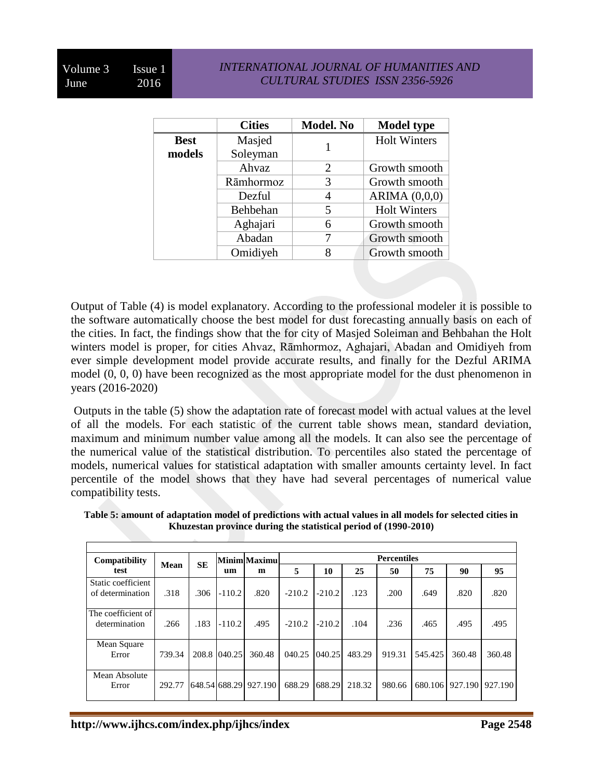#### *INTERNATIONAL JOURNAL OF HUMANITIES AND CULTURAL STUDIES ISSN 2356-5926*

|             | <b>Cities</b> | Model. No      | <b>Model type</b>   |
|-------------|---------------|----------------|---------------------|
| <b>Best</b> | Masjed        |                | <b>Holt Winters</b> |
| models      | Soleyman      |                |                     |
|             | Ahvaz         | $\overline{2}$ | Growth smooth       |
|             | Rāmhormoz     | 3              | Growth smooth       |
|             | Dezful        | 4              | ARIMA $(0,0,0)$     |
|             | Behbehan      | 5              | <b>Holt Winters</b> |
|             | Aghajari      | 6              | Growth smooth       |
|             | Abadan        |                | Growth smooth       |
|             | Omidiyeh      | 8              | Growth smooth       |

Output of Table (4) is model explanatory. According to the professional modeler it is possible to the software automatically choose the best model for dust forecasting annually basis on each of the cities. In fact, the findings show that the for city of Masjed Soleiman and Behbahan the Holt winters model is proper, for cities Ahvaz, Rāmhormoz, Aghajari, Abadan and Omidiyeh from ever simple development model provide accurate results, and finally for the Dezful ARIMA model (0, 0, 0) have been recognized as the most appropriate model for the dust phenomenon in years (2016-2020)

Outputs in the table (5) show the adaptation rate of forecast model with actual values at the level of all the models. For each statistic of the current table shows mean, standard deviation, maximum and minimum number value among all the models. It can also see the percentage of the numerical value of the statistical distribution. To percentiles also stated the percentage of models, numerical values for statistical adaptation with smaller amounts certainty level. In fact percentile of the model shows that they have had several percentages of numerical value compatibility tests.

| Table 5: amount of adaptation model of predictions with actual values in all models for selected cities in |
|------------------------------------------------------------------------------------------------------------|
| Khuzestan province during the statistical period of (1990-2010)                                            |
|                                                                                                            |

| Compatibility                          |        |           |          | Minim Maximu          |          |          |        | <b>Percentiles</b> |         |         |         |
|----------------------------------------|--------|-----------|----------|-----------------------|----------|----------|--------|--------------------|---------|---------|---------|
| test                                   | Mean   | <b>SE</b> | um       | m                     | 5        | 10       | 25     | 50                 | 75      | 90      | 95      |
| Static coefficient<br>of determination | .318   | .306      | $-110.2$ | .820                  | $-210.2$ | $-210.2$ | .123   | .200               | .649    | .820    | .820    |
| The coefficient of<br>determination    | .266   | .183      | $-110.2$ | .495                  | $-210.2$ | $-210.2$ | .104   | .236               | .465    | .495    | .495    |
| Mean Square<br>Error                   | 739.34 | 208.8     | [040.25] | 360.48                | 040.25   | 040.25   | 483.29 | 919.31             | 545.425 | 360.48  | 360.48  |
| Mean Absolute<br>Error                 | 292.77 |           |          | 648.54 688.29 927.190 | 688.29   | 688.29   | 218.32 | 980.66             | 680.106 | 927.190 | 927.190 |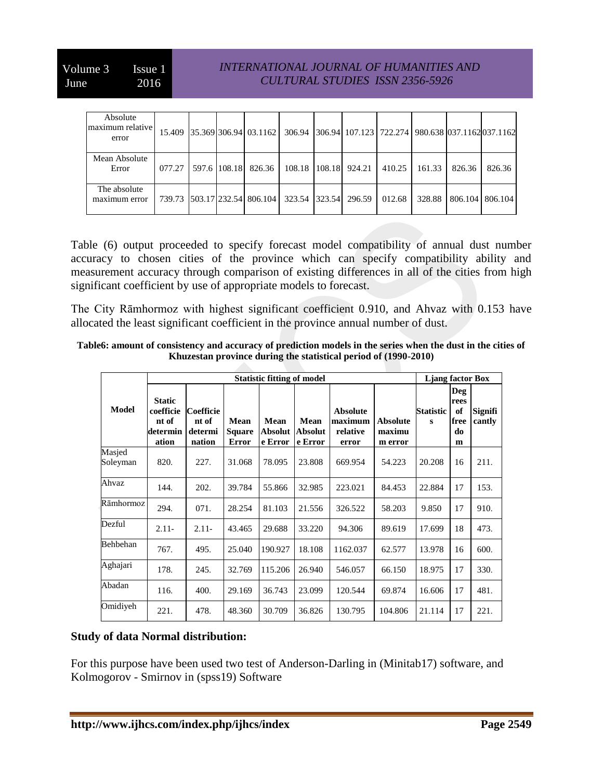#### *INTERNATIONAL JOURNAL OF HUMANITIES AND CULTURAL STUDIES ISSN 2356-5926*

| Absolute<br>maximum relative<br>error |        |              | 15.409 35.369 306.94 03.1162 |               |                      |        |        | 306.94 306.94 107.123 722.274 980.638 037.1162 037.1162 |        |
|---------------------------------------|--------|--------------|------------------------------|---------------|----------------------|--------|--------|---------------------------------------------------------|--------|
| Mean Absolute<br>Error                | 077.27 | 597.6 108.18 | 826.36                       |               | 108.18 108.18 924.21 | 410.25 | 161.33 | 826.36                                                  | 826.36 |
| The absolute<br>maximum error         |        |              | 739.73 503.17 232.54 806.104 | 323.54 323.54 | 296.59               | 012.68 | 328.88 | 806.104   806.104                                       |        |

Table (6) output proceeded to specify forecast model compatibility of annual dust number accuracy to chosen cities of the province which can specify compatibility ability and measurement accuracy through comparison of existing differences in all of the cities from high significant coefficient by use of appropriate models to forecast.

The City Rāmhormoz with highest significant coefficient 0.910, and Ahvaz with 0.153 have allocated the least significant coefficient in the province annual number of dust.

| Table6: amount of consistency and accuracy of prediction models in the series when the dust in the cities of |
|--------------------------------------------------------------------------------------------------------------|
| Khuzestan province during the statistical period of (1990-2010)                                              |

|                    |                                                          |                                                | <b>Liang factor Box</b>        |                                   |                                   |                                                 |                                      |                |                                             |                          |
|--------------------|----------------------------------------------------------|------------------------------------------------|--------------------------------|-----------------------------------|-----------------------------------|-------------------------------------------------|--------------------------------------|----------------|---------------------------------------------|--------------------------|
| <b>Model</b>       | <b>Static</b><br>coefficie<br>nt of<br>determin<br>ation | <b>Coefficie</b><br>nt of<br>determi<br>nation | Mean<br>Square<br><b>Error</b> | Mean<br><b>Absolut</b><br>e Error | <b>Mean</b><br>Absolut<br>e Error | <b>Absolute</b><br>maximum<br>relative<br>error | <b>Absolute</b><br>maximu<br>m error | Statistic<br>s | <b>Deg</b><br>rees<br>of<br>free<br>do<br>m | <b>Signifi</b><br>cantly |
| Masjed<br>Soleyman | 820.                                                     | 227.                                           | 31.068                         | 78.095                            | 23.808                            | 669.954                                         | 54.223                               | 20.208         | 16                                          | 211.                     |
| Ahvaz              | 144.                                                     | 202.                                           | 39.784                         | 55.866                            | 32.985                            | 223.021                                         | 84.453                               | 22.884         | 17                                          | 153.                     |
| Rāmhormoz          | 294.                                                     | 071.                                           | 28.254                         | 81.103                            | 21.556                            | 326.522                                         | 58.203                               | 9.850          | 17                                          | 910.                     |
| Dezful             | $2.11-$                                                  | $2.11 -$                                       | 43.465                         | 29.688                            | 33.220                            | 94.306                                          | 89.619                               | 17.699         | 18                                          | 473.                     |
| Behbehan           | 767.                                                     | 495.                                           | 25.040                         | 190.927                           | 18.108                            | 1162.037                                        | 62.577                               | 13.978         | 16                                          | 600.                     |
| Aghajari           | 178.                                                     | 245.                                           | 32.769                         | 115.206                           | 26.940                            | 546.057                                         | 66.150                               | 18.975         | 17                                          | 330.                     |
| Abadan             | 116.                                                     | 400.                                           | 29.169                         | 36.743                            | 23.099                            | 120.544                                         | 69.874                               | 16.606         | 17                                          | 481.                     |
| Omidiyeh           | 221.                                                     | 478.                                           | 48.360                         | 30.709                            | 36.826                            | 130.795                                         | 104.806                              | 21.114         | 17                                          | 221.                     |

## **Study of data Normal distribution:**

For this purpose have been used two test of Anderson-Darling in (Minitab17) software, and Kolmogorov - Smirnov in (spss19) Software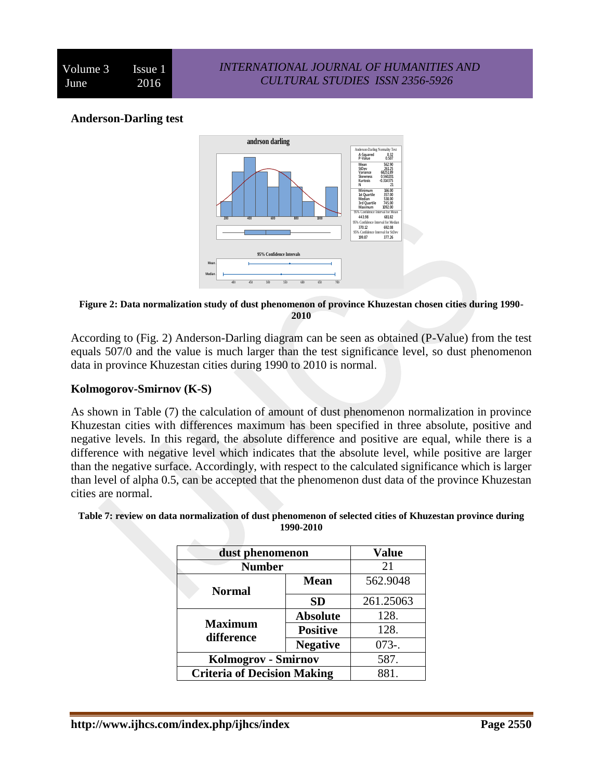#### **Anderson-Darling test**



**Figure 2: Data normalization study of dust phenomenon of province Khuzestan chosen cities during 1990- 2010**

According to (Fig. 2) Anderson-Darling diagram can be seen as obtained (P-Value) from the test equals 507/0 and the value is much larger than the test significance level, so dust phenomenon data in province Khuzestan cities during 1990 to 2010 is normal.

#### **Kolmogorov-Smirnov (K-S)**

As shown in Table (7) the calculation of amount of dust phenomenon normalization in province Khuzestan cities with differences maximum has been specified in three absolute, positive and negative levels. In this regard, the absolute difference and positive are equal, while there is a difference with negative level which indicates that the absolute level, while positive are larger than the negative surface. Accordingly, with respect to the calculated significance which is larger than level of alpha 0.5, can be accepted that the phenomenon dust data of the province Khuzestan cities are normal.

|                | dust phenomenon                    |           |  |  |  |  |
|----------------|------------------------------------|-----------|--|--|--|--|
| <b>Number</b>  | 21                                 |           |  |  |  |  |
| <b>Normal</b>  | 562.9048                           |           |  |  |  |  |
|                | <b>SD</b>                          | 261.25063 |  |  |  |  |
|                | <b>Absolute</b>                    | 128.      |  |  |  |  |
| <b>Maximum</b> | <b>Positive</b>                    | 128.      |  |  |  |  |
| difference     | <b>Negative</b>                    | $073 -$   |  |  |  |  |
|                | Kolmogrov - Smirnov                |           |  |  |  |  |
|                | <b>Criteria of Decision Making</b> |           |  |  |  |  |

#### **Table 7: review on data normalization of dust phenomenon of selected cities of Khuzestan province during 1990-2010**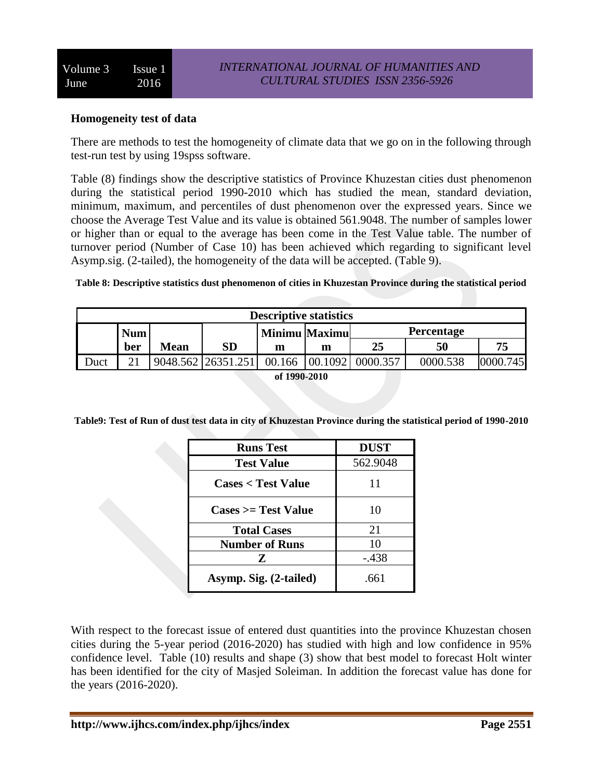#### **Homogeneity test of data**

There are methods to test the homogeneity of climate data that we go on in the following through test-run test by using 19spss software.

Table (8) findings show the descriptive statistics of Province Khuzestan cities dust phenomenon during the statistical period 1990-2010 which has studied the mean, standard deviation, minimum, maximum, and percentiles of dust phenomenon over the expressed years. Since we choose the Average Test Value and its value is obtained 561.9048. The number of samples lower or higher than or equal to the average has been come in the Test Value table. The number of turnover period (Number of Case 10) has been achieved which regarding to significant level Asymp.sig. (2-tailed), the homogeneity of the data will be accepted. (Table 9).

#### **Table 8: Descriptive statistics dust phenomenon of cities in Khuzestan Province during the statistical period**

| <b>Descriptive statistics</b>                    |                                                                             |  |  |  |  |  |  |  |  |
|--------------------------------------------------|-----------------------------------------------------------------------------|--|--|--|--|--|--|--|--|
| <b>Percentage</b><br><b>Num</b><br>Minimu Maximu |                                                                             |  |  |  |  |  |  |  |  |
|                                                  | <b>SD</b><br>25<br>75<br>50<br><b>Mean</b><br>ber<br>m<br>m                 |  |  |  |  |  |  |  |  |
| <b>Juct</b>                                      | 9048.562 26351.251<br>00.1092<br>0000.538<br>00.166<br>0000.357<br>0000.745 |  |  |  |  |  |  |  |  |
|                                                  | of 1990-2010                                                                |  |  |  |  |  |  |  |  |

**Table9: Test of Run of dust test data in city of Khuzestan Province during the statistical period of 1990-2010**

| <b>Runs Test</b>                     | <b>DUST</b> |
|--------------------------------------|-------------|
| <b>Test Value</b>                    | 562.9048    |
| <b>Cases &lt; Test Value</b>         | 11          |
| $\text{Case} \geq \text{Test Value}$ | 10          |
| <b>Total Cases</b>                   | 21          |
| <b>Number of Runs</b>                | 10          |
| Z                                    | -.438       |
| Asymp. Sig. (2-tailed)               | .661        |

With respect to the forecast issue of entered dust quantities into the province Khuzestan chosen cities during the 5-year period (2016-2020) has studied with high and low confidence in 95% confidence level. Table (10) results and shape (3) show that best model to forecast Holt winter has been identified for the city of Masjed Soleiman. In addition the forecast value has done for the years (2016-2020).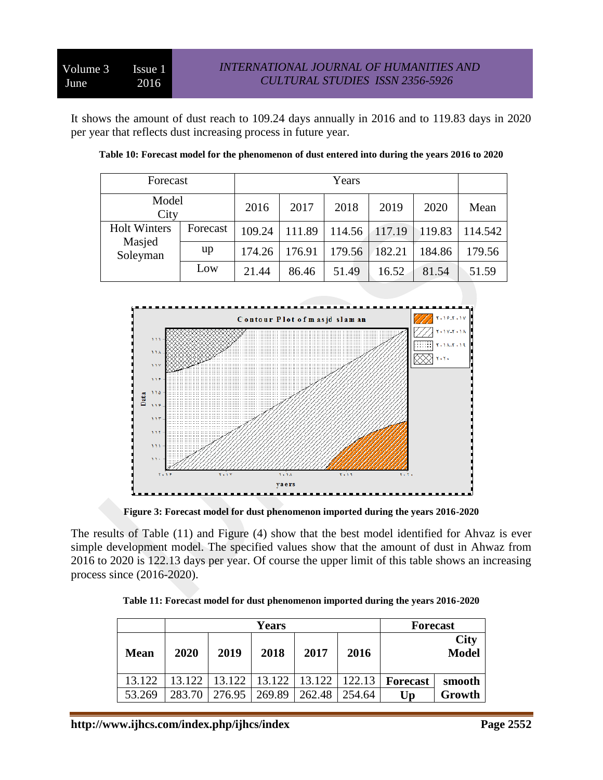It shows the amount of dust reach to 109.24 days annually in 2016 and to 119.83 days in 2020 per year that reflects dust increasing process in future year.

| Forecast            |          | Years  |        |        |        |        |         |
|---------------------|----------|--------|--------|--------|--------|--------|---------|
| Model<br>City       |          | 2016   | 2017   | 2018   | 2019   | 2020   | Mean    |
| <b>Holt Winters</b> | Forecast | 109.24 | 111.89 | 114.56 | 117.19 | 119.83 | 114.542 |
| Masjed<br>Soleyman  | up       | 174.26 | 176.91 | 179.56 | 182.21 | 184.86 | 179.56  |
|                     | Low      | 21.44  | 86.46  | 51.49  | 16.52  | 81.54  | 51.59   |

| Table 10: Forecast model for the phenomenon of dust entered into during the years 2016 to 2020 |  |
|------------------------------------------------------------------------------------------------|--|
|                                                                                                |  |



**Figure 3: Forecast model for dust phenomenon imported during the years 2016-2020**

The results of Table (11) and Figure (4) show that the best model identified for Ahvaz is ever simple development model. The specified values show that the amount of dust in Ahwaz from 2016 to 2020 is 122.13 days per year. Of course the upper limit of this table shows an increasing process since (2016-2020).

|  |  | Table 11: Forecast model for dust phenomenon imported during the years 2016-2020 |
|--|--|----------------------------------------------------------------------------------|
|--|--|----------------------------------------------------------------------------------|

|             |        |        | <b>Forecast</b> |        |        |          |                      |
|-------------|--------|--------|-----------------|--------|--------|----------|----------------------|
| <b>Mean</b> | 2020   | 2019   | 2018            | 2017   | 2016   |          | <b>City</b><br>Model |
| 13.122      | 13.122 | 13.122 | 13.122          | 13.122 | 122.13 | Forecast | smooth               |
| 53.269      | 283.70 | 276.95 | 269.89          | 262.48 | 254.64 | Up       | Growth               |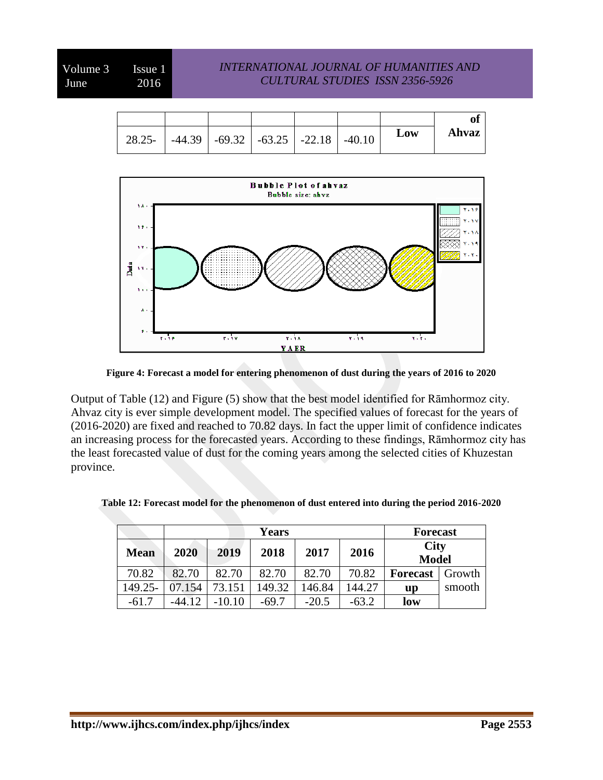| Ahvaz | Low |  |  | $28.25 -   -44.39   -69.32   -63.25   -22.18   -40.10$ |
|-------|-----|--|--|--------------------------------------------------------|



**Figure 4: Forecast a model for entering phenomenon of dust during the years of 2016 to 2020**

Output of Table (12) and Figure (5) show that the best model identified for Rāmhormoz city. Ahvaz city is ever simple development model. The specified values of forecast for the years of (2016-2020) are fixed and reached to 70.82 days. In fact the upper limit of confidence indicates an increasing process for the forecasted years. According to these findings, Rāmhormoz city has the least forecasted value of dust for the coming years among the selected cities of Khuzestan province.

|             | <b>Years</b> |          |         |         |         |              | <b>Forecast</b> |
|-------------|--------------|----------|---------|---------|---------|--------------|-----------------|
| <b>Mean</b> | 2020         | 2019     | 2018    | 2017    | 2016    | <b>City</b>  |                 |
|             |              |          |         |         |         | <b>Model</b> |                 |
| 70.82       | 82.70        | 82.70    | 82.70   | 82.70   | 70.82   | Forecast     | Growth          |
| 149.25-     | 07.154       | 73.151   | 149.32  | 146.84  | 144.27  | up           | smooth          |
| $-61.7$     | $-44.12$     | $-10.10$ | $-69.7$ | $-20.5$ | $-63.2$ | low          |                 |

**Table 12: Forecast model for the phenomenon of dust entered into during the period 2016-2020**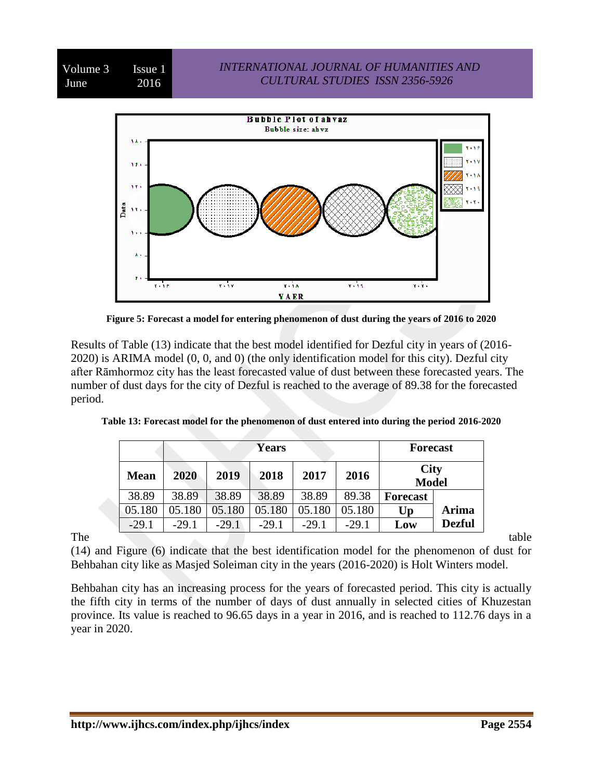

**Figure 5: Forecast a model for entering phenomenon of dust during the years of 2016 to 2020**

Results of Table (13) indicate that the best model identified for Dezful city in years of (2016- 2020) is ARIMA model (0, 0, and 0) (the only identification model for this city). Dezful city after Rāmhormoz city has the least forecasted value of dust between these forecasted years. The number of dust days for the city of Dezful is reached to the average of 89.38 for the forecasted period.

|             | <b>Years</b> |         |         |         |         |                             | <b>Forecast</b> |
|-------------|--------------|---------|---------|---------|---------|-----------------------------|-----------------|
| <b>Mean</b> | 2020         | 2019    | 2018    | 2017    | 2016    | <b>City</b><br><b>Model</b> |                 |
| 38.89       | 38.89        | 38.89   | 38.89   | 38.89   | 89.38   | <b>Forecast</b>             |                 |
| 05.180      | 05.180       | 05.180  | 05.180  | 05.180  | 05.180  | Up                          | Arima           |
| $-29.1$     | $-291$       | $-29.1$ | $-29.1$ | $-29.1$ | $-29.1$ | Low                         | <b>Dezful</b>   |

**Table 13: Forecast model for the phenomenon of dust entered into during the period 2016-2020**

The table table (14) and Figure (6) indicate that the best identification model for the phenomenon of dust for Behbahan city like as Masjed Soleiman city in the years (2016-2020) is Holt Winters model.

Behbahan city has an increasing process for the years of forecasted period. This city is actually the fifth city in terms of the number of days of dust annually in selected cities of Khuzestan province. Its value is reached to 96.65 days in a year in 2016, and is reached to 112.76 days in a year in 2020.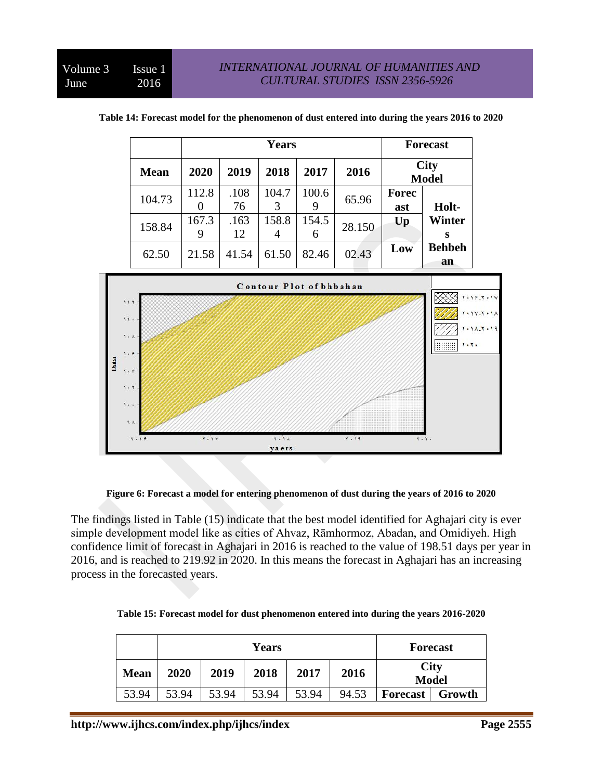|             |            |            |            | <b>Forecast</b> |        |                             |                     |
|-------------|------------|------------|------------|-----------------|--------|-----------------------------|---------------------|
| <b>Mean</b> | 2020       | 2019       | 2018       | 2017            | 2016   | <b>City</b><br><b>Model</b> |                     |
| 104.73      | 112.8      | .108<br>76 | 104.7<br>3 | 100.6<br>9      | 65.96  | <b>Forec</b><br>ast         | Holt-               |
| 158.84      | 167.3<br>9 | .163<br>12 | 158.8<br>4 | 154.5<br>6      | 28.150 | Up                          | <b>Winter</b>       |
| 62.50       | 21.58      | 41.54      | 61.50      | 82.46           | 02.43  | Low                         | <b>Behbeh</b><br>an |

|  | Table 14: Forecast model for the phenomenon of dust entered into during the years 2016 to 2020 |
|--|------------------------------------------------------------------------------------------------|
|--|------------------------------------------------------------------------------------------------|



**Figure 6: Forecast a model for entering phenomenon of dust during the years of 2016 to 2020**

The findings listed in Table (15) indicate that the best model identified for Aghajari city is ever simple development model like as cities of Ahvaz, Rāmhormoz, Abadan, and Omidiyeh. High confidence limit of forecast in Aghajari in 2016 is reached to the value of 198.51 days per year in 2016, and is reached to 219.92 in 2020. In this means the forecast in Aghajari has an increasing process in the forecasted years.

| Table 15: Forecast model for dust phenomenon entered into during the years 2016-2020 |  |  |
|--------------------------------------------------------------------------------------|--|--|
|                                                                                      |  |  |

|             | Years |       |       |       |       |                 | <b>Forecast</b>             |
|-------------|-------|-------|-------|-------|-------|-----------------|-----------------------------|
| <b>Mean</b> | 2020  | 2019  | 2018  | 2017  | 2016  |                 | <b>City</b><br><b>Model</b> |
| 53.94       | 53.94 | 53.94 | 53.94 | 53.94 | 94.53 | <b>Forecast</b> | Growth                      |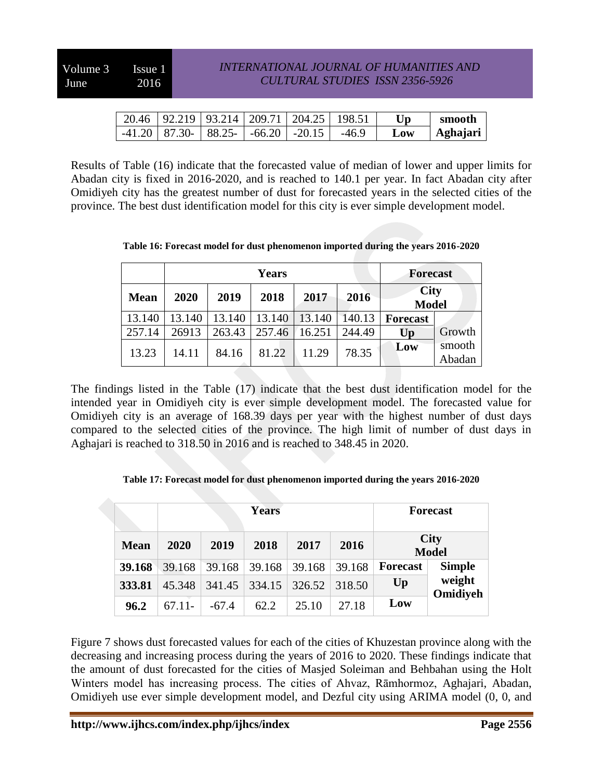|  |  | 20.46   92.219   93.214   209.71   204.25   198.51 |         | Up  | smooth   |
|--|--|----------------------------------------------------|---------|-----|----------|
|  |  | $-41.20$   87.30   88.25   $-66.20$   $-20.15$     | $-46.9$ | Low | Aghajari |

Results of Table (16) indicate that the forecasted value of median of lower and upper limits for Abadan city is fixed in 2016-2020, and is reached to 140.1 per year. In fact Abadan city after Omidiyeh city has the greatest number of dust for forecasted years in the selected cities of the province. The best dust identification model for this city is ever simple development model.

**Table 16: Forecast model for dust phenomenon imported during the years 2016-2020**

|             |        |        | <b>Forecast</b> |        |        |                             |                  |
|-------------|--------|--------|-----------------|--------|--------|-----------------------------|------------------|
| <b>Mean</b> | 2020   | 2019   | 2018            | 2017   | 2016   | <b>City</b><br><b>Model</b> |                  |
| 13.140      | 13.140 | 13.140 | 13.140          | 13.140 | 140.13 | <b>Forecast</b>             |                  |
| 257.14      | 26913  | 263.43 | 257.46          | 16.251 | 244.49 | Up                          | Growth           |
| 13.23       | 14.11  | 84.16  | 81.22           | 11.29  | 78.35  | Low                         | smooth<br>Abadan |

The findings listed in the Table (17) indicate that the best dust identification model for the intended year in Omidiyeh city is ever simple development model. The forecasted value for Omidiyeh city is an average of 168.39 days per year with the highest number of dust days compared to the selected cities of the province. The high limit of number of dust days in Aghajari is reached to 318.50 in 2016 and is reached to 348.45 in 2020.

**Table 17: Forecast model for dust phenomenon imported during the years 2016-2020**

|             |              |        | <b>Forecast</b> |        |        |                             |                    |
|-------------|--------------|--------|-----------------|--------|--------|-----------------------------|--------------------|
| <b>Mean</b> | 2019<br>2020 |        | 2018<br>2017    |        | 2016   | <b>City</b><br><b>Model</b> |                    |
| 39.168      | 39.168       | 39.168 | 39.168          | 39.168 | 39.168 | <b>Forecast</b>             | <b>Simple</b>      |
| 333.81      | 45 348       | 341.45 | 334.15          | 326.52 | 318.50 | $U_{p}$                     | weight<br>Omidiyeh |
| 96.2        | $6711-$      | -674   | 62.2            | 25 10  | 27.18  | Low                         |                    |

Figure 7 shows dust forecasted values for each of the cities of Khuzestan province along with the decreasing and increasing process during the years of 2016 to 2020. These findings indicate that the amount of dust forecasted for the cities of Masjed Soleiman and Behbahan using the Holt Winters model has increasing process. The cities of Ahvaz, Rāmhormoz, Aghajari, Abadan, Omidiyeh use ever simple development model, and Dezful city using ARIMA model (0, 0, and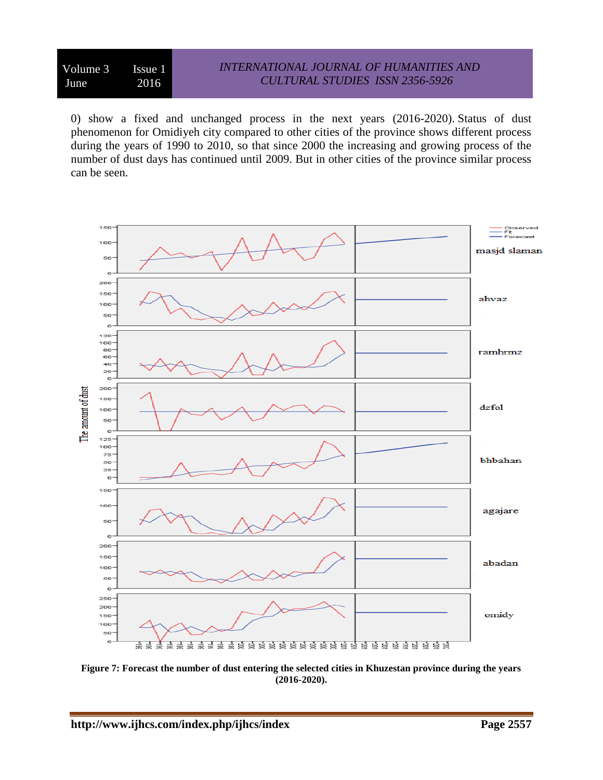#### *INTERNATIONAL JOURNAL OF HUMANITIES AND CULTURAL STUDIES ISSN 2356-5926*

0) show a fixed and unchanged process in the next years (2016-2020). Status of dust phenomenon for Omidiyeh city compared to other cities of the province shows different process during the years of 1990 to 2010, so that since 2000 the increasing and growing process of the number of dust days has continued until 2009. But in other cities of the province similar process can be seen.



**Figure 7: Forecast the number of dust entering the selected cities in Khuzestan province during the years (2016-2020).**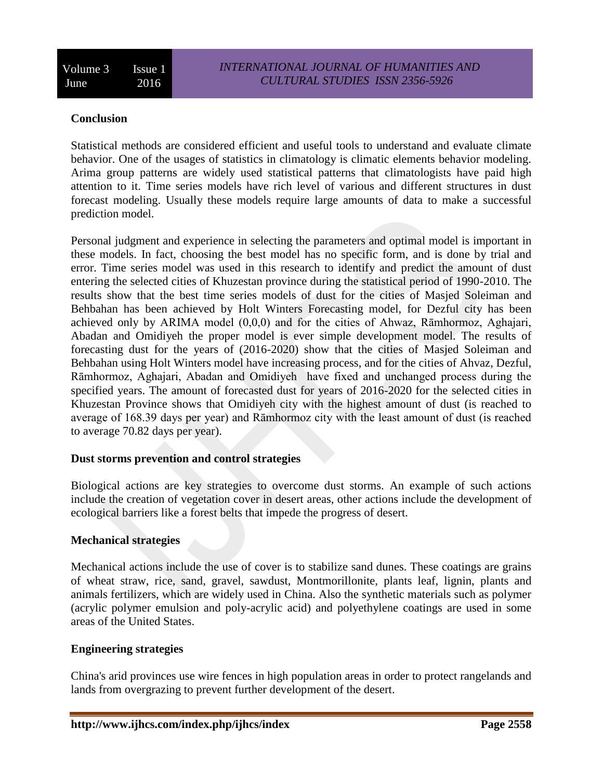## **Conclusion**

Statistical methods are considered efficient and useful tools to understand and evaluate climate behavior. One of the usages of statistics in climatology is climatic elements behavior modeling. Arima group patterns are widely used statistical patterns that climatologists have paid high attention to it. Time series models have rich level of various and different structures in dust forecast modeling. Usually these models require large amounts of data to make a successful prediction model.

Personal judgment and experience in selecting the parameters and optimal model is important in these models. In fact, choosing the best model has no specific form, and is done by trial and error. Time series model was used in this research to identify and predict the amount of dust entering the selected cities of Khuzestan province during the statistical period of 1990-2010. The results show that the best time series models of dust for the cities of Masjed Soleiman and Behbahan has been achieved by Holt Winters Forecasting model, for Dezful city has been achieved only by ARIMA model (0,0,0) and for the cities of Ahwaz, Rāmhormoz, Aghajari, Abadan and Omidiyeh the proper model is ever simple development model. The results of forecasting dust for the years of (2016-2020) show that the cities of Masjed Soleiman and Behbahan using Holt Winters model have increasing process, and for the cities of Ahvaz, Dezful, Rāmhormoz, Aghajari, Abadan and Omidiyeh have fixed and unchanged process during the specified years. The amount of forecasted dust for years of 2016-2020 for the selected cities in Khuzestan Province shows that Omidiyeh city with the highest amount of dust (is reached to average of 168.39 days per year) and Rāmhormoz city with the least amount of dust (is reached to average 70.82 days per year).

## **Dust storms prevention and control strategies**

Biological actions are key strategies to overcome dust storms. An example of such actions include the creation of vegetation cover in desert areas, other actions include the development of ecological barriers like a forest belts that impede the progress of desert.

## **Mechanical strategies**

Mechanical actions include the use of cover is to stabilize sand dunes. These coatings are grains of wheat straw, rice, sand, gravel, sawdust, Montmorillonite, plants leaf, lignin, plants and animals fertilizers, which are widely used in China. Also the synthetic materials such as polymer (acrylic polymer emulsion and poly-acrylic acid) and polyethylene coatings are used in some areas of the United States.

## **Engineering strategies**

China's arid provinces use wire fences in high population areas in order to protect rangelands and lands from overgrazing to prevent further development of the desert.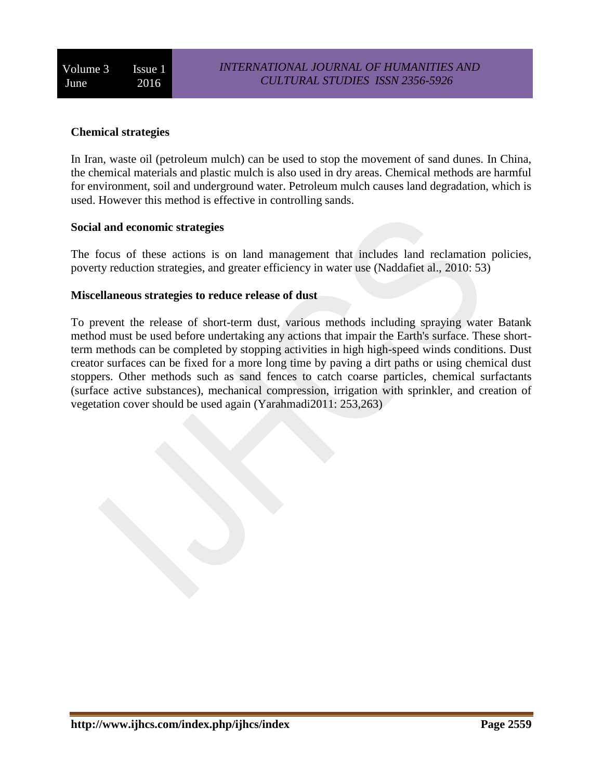## **Chemical strategies**

In Iran, waste oil (petroleum mulch) can be used to stop the movement of sand dunes. In China, the chemical materials and plastic mulch is also used in dry areas. Chemical methods are harmful for environment, soil and underground water. Petroleum mulch causes land degradation, which is used. However this method is effective in controlling sands.

#### **Social and economic strategies**

The focus of these actions is on land management that includes land reclamation policies, poverty reduction strategies, and greater efficiency in water use (Naddafiet al., 2010: 53)

#### **Miscellaneous strategies to reduce release of dust**

To prevent the release of short-term dust, various methods including spraying water Batank method must be used before undertaking any actions that impair the Earth's surface. These shortterm methods can be completed by stopping activities in high high-speed winds conditions. Dust creator surfaces can be fixed for a more long time by paving a dirt paths or using chemical dust stoppers. Other methods such as sand fences to catch coarse particles, chemical surfactants (surface active substances), mechanical compression, irrigation with sprinkler, and creation of vegetation cover should be used again (Yarahmadi2011: 253,263)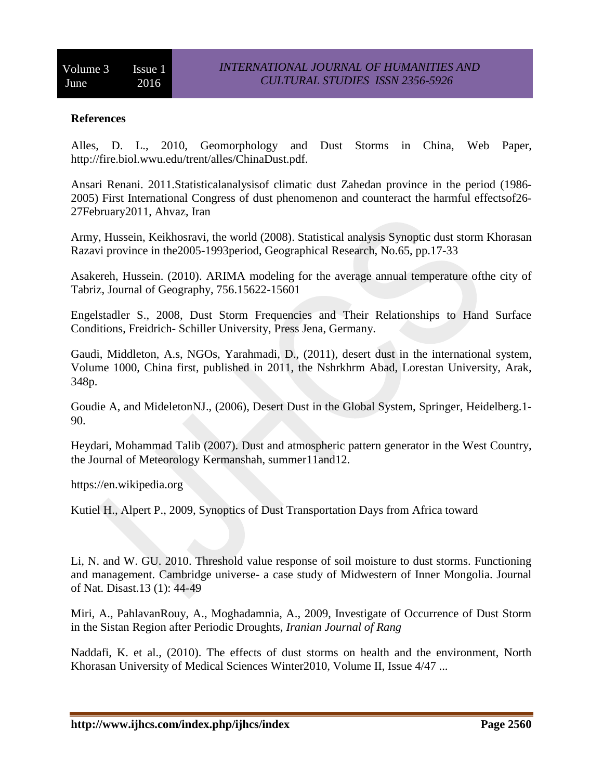## **References**

Alles, D. L., 2010, Geomorphology and Dust Storms in China, Web Paper, http://fire.biol.wwu.edu/trent/alles/ChinaDust.pdf.

Ansari Renani. 2011.Statisticalanalysisof climatic dust Zahedan province in the period (1986- 2005) First International Congress of dust phenomenon and counteract the harmful effectsof26- 27February2011, Ahvaz, Iran

Army, Hussein, Keikhosravi, the world (2008). Statistical analysis Synoptic dust storm Khorasan Razavi province in the2005-1993period, Geographical Research, No.65, pp.17-33

Asakereh, Hussein. (2010). ARIMA modeling for the average annual temperature ofthe city of Tabriz, Journal of Geography, 756.15622-15601

Engelstadler S., 2008, Dust Storm Frequencies and Their Relationships to Hand Surface Conditions, Freidrich- Schiller University, Press Jena, Germany.

Gaudi, Middleton, A.s, NGOs, Yarahmadi, D., (2011), desert dust in the international system, Volume 1000, China first, published in 2011, the Nshrkhrm Abad, Lorestan University, Arak, 348p.

Goudie A, and MideletonNJ., (2006), Desert Dust in the Global System, Springer, Heidelberg.1- 90.

Heydari, Mohammad Talib (2007). Dust and atmospheric pattern generator in the West Country, the Journal of Meteorology Kermanshah, summer11and12.

https://en.wikipedia.org

Kutiel H., Alpert P., 2009, Synoptics of Dust Transportation Days from Africa toward

Li, N. and W. GU. 2010. Threshold value response of soil moisture to dust storms. Functioning and management. Cambridge universe- a case study of Midwestern of Inner Mongolia. Journal of Nat. Disast.13 (1): 44-49

Miri, A., PahlavanRouy, A., Moghadamnia, A., 2009, Investigate of Occurrence of Dust Storm in the Sistan Region after Periodic Droughts, *Iranian Journal of Rang*

Naddafi, K. et al., (2010). The effects of dust storms on health and the environment, North Khorasan University of Medical Sciences Winter2010, Volume II, Issue 4/47 ...